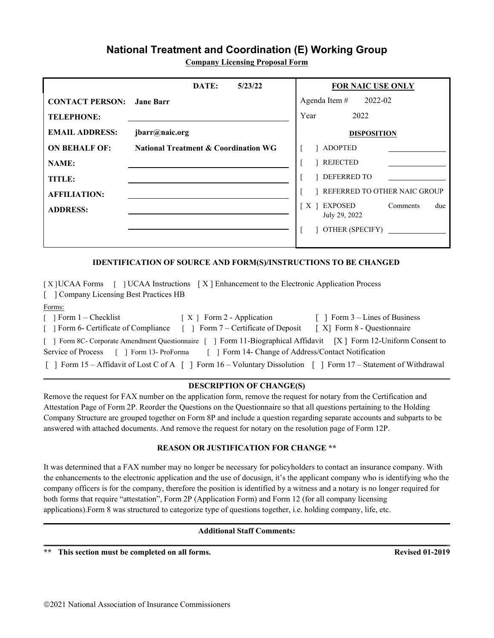# **National Treatment and Coordination (E) Working Group**

**Company Licensing Proposal Form**

|                        | DATE:<br>5/23/22                                | <b>FOR NAIC USE ONLY</b>                                |
|------------------------|-------------------------------------------------|---------------------------------------------------------|
| <b>CONTACT PERSON:</b> | <b>Jane Barr</b>                                | Agenda Item $\#$ 2022-02                                |
| <b>TELEPHONE:</b>      |                                                 | 2022<br>Year                                            |
| <b>EMAIL ADDRESS:</b>  | jbarr@naic.org                                  | <b>DISPOSITION</b>                                      |
| <b>ON BEHALF OF:</b>   | <b>National Treatment &amp; Coordination WG</b> | <b>ADOPTED</b>                                          |
| <b>NAME:</b>           |                                                 | <b>REJECTED</b>                                         |
| TITLE:                 |                                                 | DEFERRED TO                                             |
| <b>AFFILIATION:</b>    |                                                 | REFERRED TO OTHER NAIC GROUP                            |
| <b>ADDRESS:</b>        |                                                 | $X \mid$<br>EXPOSED<br>Comments<br>due<br>July 29, 2022 |
|                        |                                                 | OTHER (SPECIFY)                                         |

#### **IDENTIFICATION OF SOURCE AND FORM(S)/INSTRUCTIONS TO BE CHANGED**

[ X ]UCAA Forms [ ] UCAA Instructions [ X ] Enhancement to the Electronic Application Process [ ] Company Licensing Best Practices HB Forms: [ ] Form 1 – Checklist [ X ] Form 2 - Application [ ] Form 3 – Lines of Business [ ] Form 6- Certificate of Compliance [ ] Form 7 – Certificate of Deposit [ X] Form 8 - Questionnaire [ ] Form 8C- Corporate Amendment Questionnaire [ ] Form 11-Biographical Affidavit [X ] Form 12-Uniform Consent to Service of Process  $\lceil \rceil$  Form 13- ProForma  $\lceil \rceil$  Form 14- Change of Address/Contact Notification [ ] Form 15 – Affidavit of Lost C of A [ ] Form 16 – Voluntary Dissolution [ ] Form 17 – Statement of Withdrawal

#### **DESCRIPTION OF CHANGE(S)**

Remove the request for FAX number on the application form, remove the request for notary from the Certification and Attestation Page of Form 2P. Reorder the Questions on the Questionnaire so that all questions pertaining to the Holding Company Structure are grouped together on Form 8P and include a question regarding separate accounts and subparts to be answered with attached documents. And remove the request for notary on the resolution page of Form 12P.

#### **REASON OR JUSTIFICATION FOR CHANGE \*\***

It was determined that a FAX number may no longer be necessary for policyholders to contact an insurance company. With the enhancements to the electronic application and the use of docusign, it's the applicant company who is identifying who the company officers is for the company, therefore the position is identified by a witness and a notary is no longer required for both forms that require "attestation", Form 2P (Application Form) and Form 12 (for all company licensing applications).Form 8 was structured to categorize type of questions together, i.e. holding company, life, etc.

#### **Additional Staff Comments:** \_\_\_\_\_\_\_\_\_\_\_\_\_\_\_\_\_\_\_\_\_\_\_\_\_\_\_\_\_\_\_\_\_\_\_\_\_\_\_\_\_\_\_\_\_\_\_\_\_\_\_\_\_\_\_\_\_\_\_\_\_\_\_\_\_\_\_\_\_\_\_\_\_\_\_\_\_\_\_\_\_\_\_\_\_\_\_\_\_\_\_\_\_\_\_\_\_\_\_

**This section must be completed on all forms. Revised 01-2019**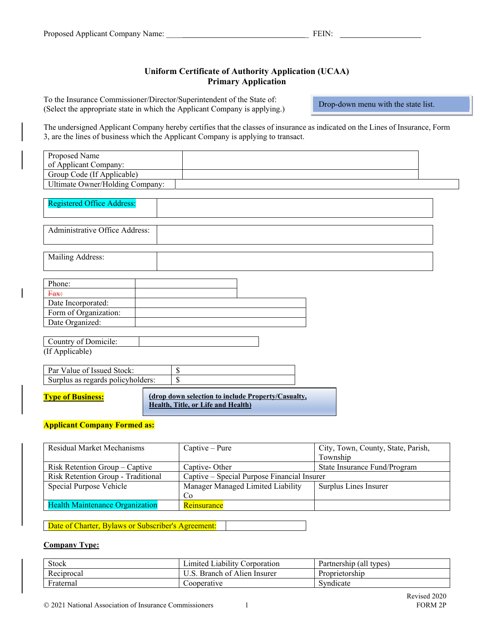# **Uniform Certificate of Authority Application (UCAA) Primary Application**

To the Insurance Commissioner/Director/Superintendent of the State of: (Select the appropriate state in which the Applicant Company is applying.)

Drop-down menu with the state list.

The undersigned Applicant Company hereby certifies that the classes of insurance as indicated on the Lines of Insurance, Form 3, are the lines of business which the Applicant Company is applying to transact.

| Proposed Name                     |    |
|-----------------------------------|----|
| of Applicant Company:             |    |
| Group Code (If Applicable)        |    |
| Ultimate Owner/Holding Company:   |    |
|                                   |    |
| <b>Registered Office Address:</b> |    |
|                                   |    |
| Administrative Office Address:    |    |
|                                   |    |
|                                   |    |
| Mailing Address:                  |    |
|                                   |    |
| Phone:                            |    |
| Fax:                              |    |
| Date Incorporated:                |    |
| Form of Organization:             |    |
| Date Organized:                   |    |
|                                   |    |
| Country of Domicile:              |    |
| (If Applicable)                   |    |
| Par Value of Issued Stock:        | \$ |
| Surplus as regards policyholders: | \$ |
|                                   |    |

**Type of Business:**

**(drop down selection to include Property/Casualty, Health, Title, or Life and Health)**

**Applicant Company Formed as:** 

| Residual Market Mechanisms             | $Captive-Pure$                              | City, Town, County, State, Parish, |  |
|----------------------------------------|---------------------------------------------|------------------------------------|--|
|                                        |                                             | Township                           |  |
| Risk Retention Group – Captive         | Captive-Other                               | State Insurance Fund/Program       |  |
| Risk Retention Group - Traditional     | Captive – Special Purpose Financial Insurer |                                    |  |
| Special Purpose Vehicle                | Manager Managed Limited Liability           | Surplus Lines Insurer              |  |
|                                        | Co                                          |                                    |  |
| <b>Health Maintenance Organization</b> | <b>Reinsurance</b>                          |                                    |  |

Date of Charter, Bylaws or Subscriber's Agreement:

## **Company Type:**

| <b>Stock</b>          | . Liability '<br>⊿mıted⊥<br>Corporation | (all<br>Partnership<br>types |
|-----------------------|-----------------------------------------|------------------------------|
| D<br>Reciprocal       | Branch of Alien<br>Insurer              | Proprietorship               |
| <b>T</b><br>Fraternal | Cooperative                             | Syndicate                    |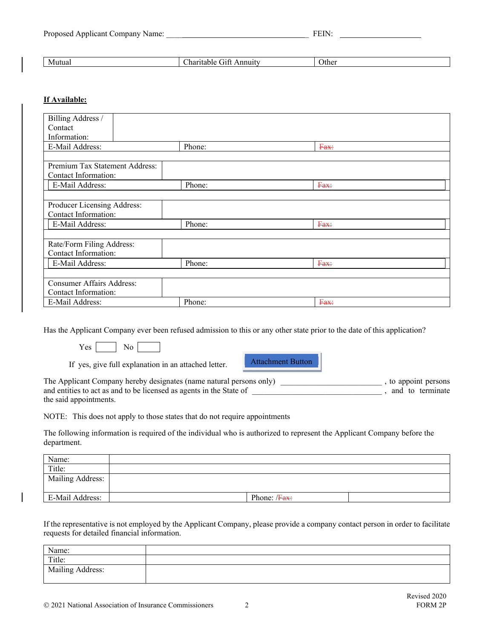| N/P<br>Mutual | . .<br>анн<br><br>کے ا | Other |
|---------------|------------------------|-------|
|               |                        |       |

# **If Available:**

| Billing Address /                |        |      |  |
|----------------------------------|--------|------|--|
| Contact                          |        |      |  |
| Information:                     |        |      |  |
| E-Mail Address:                  | Phone: | Fax: |  |
|                                  |        |      |  |
| Premium Tax Statement Address:   |        |      |  |
| Contact Information:             |        |      |  |
| E-Mail Address:                  | Phone: | Fax: |  |
|                                  |        |      |  |
| Producer Licensing Address:      |        |      |  |
| Contact Information:             |        |      |  |
| E-Mail Address:                  | Phone: | Fax: |  |
|                                  |        |      |  |
| Rate/Form Filing Address:        |        |      |  |
| Contact Information:             |        |      |  |
| E-Mail Address:                  | Phone: | Fax: |  |
|                                  |        |      |  |
| <b>Consumer Affairs Address:</b> |        |      |  |
| Contact Information:             |        |      |  |
| E-Mail Address:                  | Phone: | Fax: |  |

Has the Applicant Company ever been refused admission to this or any other state prior to the date of this application?

 $Yes \mid$  No

If yes, give full explanation in an attached letter.

Attachment Button

The Applicant Company hereby designates (name natural persons only) \_\_\_\_\_\_\_\_\_\_\_\_\_\_\_\_\_\_\_\_\_\_\_\_\_ , to appoint persons and entities to act as and to be licensed as agents in the State of \_\_\_\_\_\_\_\_\_\_\_\_\_\_\_\_\_\_\_\_\_\_\_\_\_\_\_\_\_\_\_\_ , and to terminate the said appointments.

NOTE: This does not apply to those states that do not require appointments

The following information is required of the individual who is authorized to represent the Applicant Company before the department.

| Name:            |                          |
|------------------|--------------------------|
| Title:           |                          |
| Mailing Address: |                          |
|                  |                          |
| E-Mail Address:  | Phone: / <del>Fax:</del> |

If the representative is not employed by the Applicant Company, please provide a company contact person in order to facilitate requests for detailed financial information.

| Name:            |  |
|------------------|--|
| Title:           |  |
| Mailing Address: |  |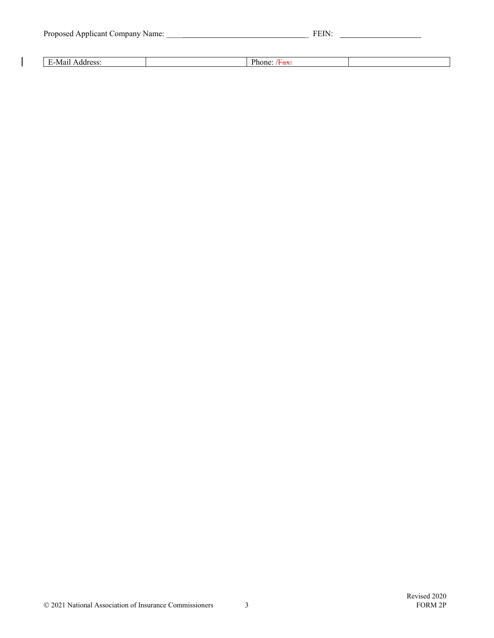|  |  |  | Proposed Applicant Company Name: |
|--|--|--|----------------------------------|

 $\begin{array}{c} \begin{array}{c} \hline \end{array} \end{array}$ 

| $\mathbf{N}$ |  |  |
|--------------|--|--|
|              |  |  |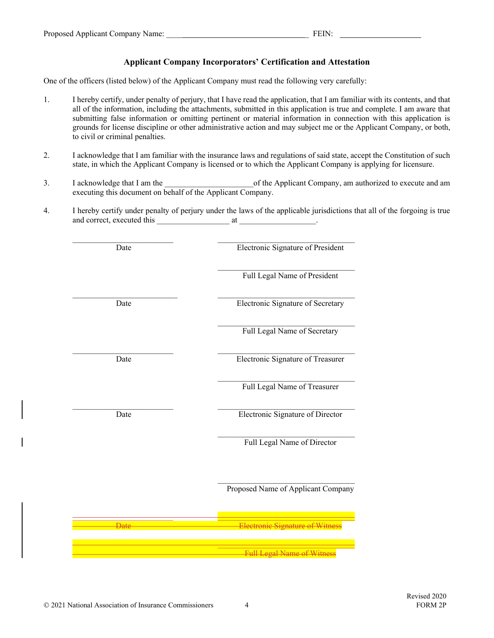# **Applicant Company Incorporators' Certification and Attestation**

One of the officers (listed below) of the Applicant Company must read the following very carefully:

- 1. I hereby certify, under penalty of perjury, that I have read the application, that I am familiar with its contents, and that all of the information, including the attachments, submitted in this application is true and complete. I am aware that submitting false information or omitting pertinent or material information in connection with this application is grounds for license discipline or other administrative action and may subject me or the Applicant Company, or both, to civil or criminal penalties.
- 2. I acknowledge that I am familiar with the insurance laws and regulations of said state, accept the Constitution of such state, in which the Applicant Company is licensed or to which the Applicant Company is applying for licensure.
- 3. I acknowledge that I am the  $\qquad \qquad$  of the Applicant Company, am authorized to execute and am executing this document on behalf of the Applicant Company.
- 4. I hereby certify under penalty of perjury under the laws of the applicable jurisdictions that all of the forgoing is true and correct, executed this \_\_\_\_\_\_\_\_\_\_\_\_\_\_\_\_\_\_ at \_\_\_\_\_\_\_\_\_\_\_\_\_\_\_\_\_\_\_.

| Date | <b>Electronic Signature of President</b> |
|------|------------------------------------------|
|      | Full Legal Name of President             |
| Date | Electronic Signature of Secretary        |
|      | Full Legal Name of Secretary             |
| Date | Electronic Signature of Treasurer        |
|      | Full Legal Name of Treasurer             |
| Date | <b>Electronic Signature of Director</b>  |
|      | Full Legal Name of Director              |
|      | Proposed Name of Applicant Company       |
|      |                                          |
|      | Full Legal Name of Witne                 |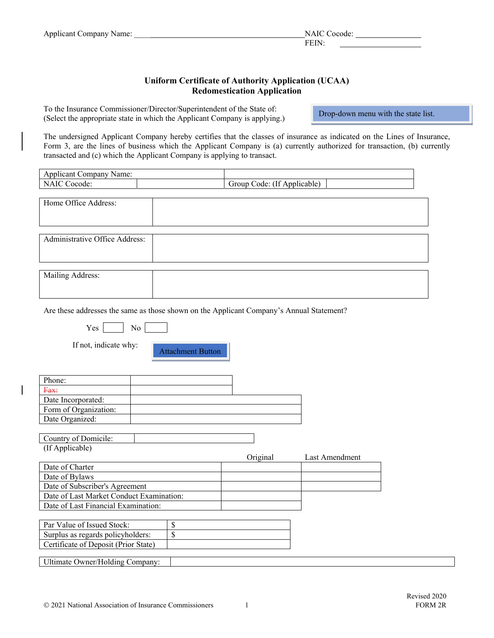# **Uniform Certificate of Authority Application (UCAA) Redomestication Application**

To the Insurance Commissioner/Director/Superintendent of the State of: (Select the appropriate state in which the Applicant Company is applying.)

Drop-down menu with the state list.

The undersigned Applicant Company hereby certifies that the classes of insurance as indicated on the Lines of Insurance, Form 3, are the lines of business which the Applicant Company is (a) currently authorized for transaction, (b) currently transacted and (c) which the Applicant Company is applying to transact.

| Applicant Company Name:        |                             |
|--------------------------------|-----------------------------|
| <b>NAIC Cocode:</b>            | Group Code: (If Applicable) |
|                                |                             |
| Home Office Address:           |                             |
|                                |                             |
|                                |                             |
|                                |                             |
| Administrative Office Address: |                             |
|                                |                             |
|                                |                             |
|                                |                             |
| Mailing Address:               |                             |
|                                |                             |

Are these addresses the same as those shown on the Applicant Company's Annual Statement?

|--|--|--|

If not, indicate why:

Attachment Button

| Phone:                |  |
|-----------------------|--|
| Fax:                  |  |
| Date Incorporated:    |  |
| Form of Organization: |  |
| Date Organized:       |  |

Country of Domicile: (If Applicable)

|                                          | Original | Last Amendment |
|------------------------------------------|----------|----------------|
| Date of Charter                          |          |                |
| Date of Bylaws                           |          |                |
| Date of Subscriber's Agreement           |          |                |
| Date of Last Market Conduct Examination: |          |                |
| Date of Last Financial Examination:      |          |                |
|                                          |          |                |

| Par Value of Issued Stock:           |  |
|--------------------------------------|--|
| Surplus as regards policyholders:    |  |
| Certificate of Deposit (Prior State) |  |

Ultimate Owner/Holding Company: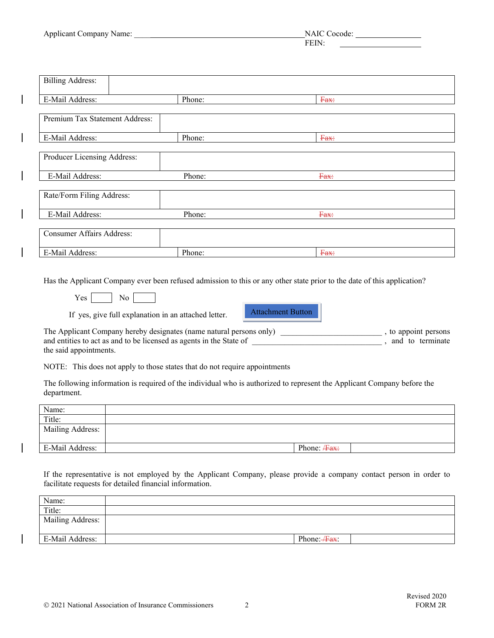| <b>Applicant Company Name:</b> | NAIC<br>. ocode. |
|--------------------------------|------------------|
|                                |                  |

| <b>Billing Address:</b>          |        |      |
|----------------------------------|--------|------|
| E-Mail Address:                  | Phone: | Fax: |
| Premium Tax Statement Address:   |        |      |
| E-Mail Address:                  | Phone: | Fax: |
| Producer Licensing Address:      |        |      |
| E-Mail Address:                  | Phone: | Fax: |
| Rate/Form Filing Address:        |        |      |
| E-Mail Address:                  | Phone: | Fax: |
| <b>Consumer Affairs Address:</b> |        |      |
| E-Mail Address:                  | Phone: | Fax: |

Has the Applicant Company ever been refused admission to this or any other state prior to the date of this application?

 $Yes$  No  $\Box$ 

If yes, give full explanation in an attached letter.

Attachment Button

The Applicant Company hereby designates (name natural persons only) \_\_\_\_\_\_\_\_\_\_\_\_\_\_\_\_\_\_\_\_\_\_\_\_\_\_\_\_\_\_\_, to appoint persons and entities to act as and to be licensed as agents in the State of \_\_\_\_\_\_\_\_\_\_\_\_\_\_\_\_\_\_\_\_\_\_\_\_\_\_\_\_\_\_\_\_ , and to terminate the said appointments.

NOTE: This does not apply to those states that do not require appointments

The following information is required of the individual who is authorized to represent the Applicant Company before the department.

| Name:<br>_____   |                      |
|------------------|----------------------|
| Title:           |                      |
| Mailing Address: |                      |
| E-Mail Address:  | Phone: <b>/Fax</b> : |

If the representative is not employed by the Applicant Company, please provide a company contact person in order to facilitate requests for detailed financial information.

| Name:            |                          |
|------------------|--------------------------|
| Title:           |                          |
| Mailing Address: |                          |
|                  |                          |
| E-Mail Address:  | Phone: <del>/Fax</del> : |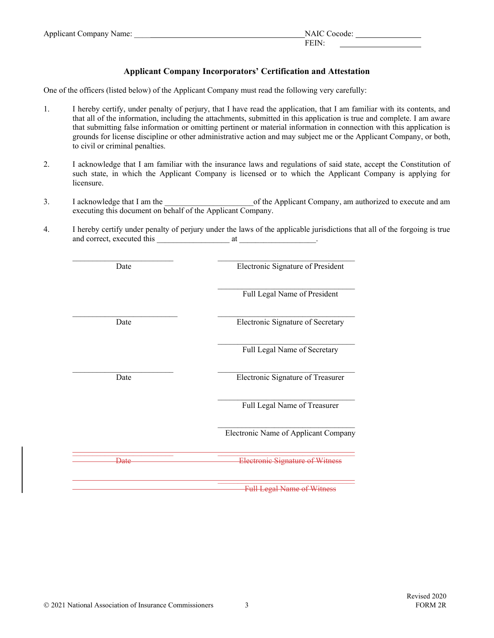| <b>Applicant Company Name:</b> | NAIC<br>ocode: |
|--------------------------------|----------------|
|                                | нн             |

## **Applicant Company Incorporators' Certification and Attestation**

One of the officers (listed below) of the Applicant Company must read the following very carefully:

- 1. I hereby certify, under penalty of perjury, that I have read the application, that I am familiar with its contents, and that all of the information, including the attachments, submitted in this application is true and complete. I am aware that submitting false information or omitting pertinent or material information in connection with this application is grounds for license discipline or other administrative action and may subject me or the Applicant Company, or both, to civil or criminal penalties.
- 2. I acknowledge that I am familiar with the insurance laws and regulations of said state, accept the Constitution of such state, in which the Applicant Company is licensed or to which the Applicant Company is applying for licensure.
- 3. I acknowledge that I am the  $\blacksquare$  of the Applicant Company, am authorized to execute and am executing this document on behalf of the Applicant Company.
- 4. I hereby certify under penalty of perjury under the laws of the applicable jurisdictions that all of the forgoing is true and correct, executed this \_\_\_\_\_\_\_\_\_\_\_\_\_\_\_\_\_\_ at \_\_\_\_\_\_\_\_\_\_\_\_\_\_\_\_\_\_\_.

| Date            | Electronic Signature of President    |
|-----------------|--------------------------------------|
|                 | Full Legal Name of President         |
| Date            | Electronic Signature of Secretary    |
|                 | Full Legal Name of Secretary         |
| Date            | Electronic Signature of Treasurer    |
|                 | Full Legal Name of Treasurer         |
|                 | Electronic Name of Applicant Company |
| <del>Date</del> |                                      |
|                 | <b>Full Legal Name of Witn</b>       |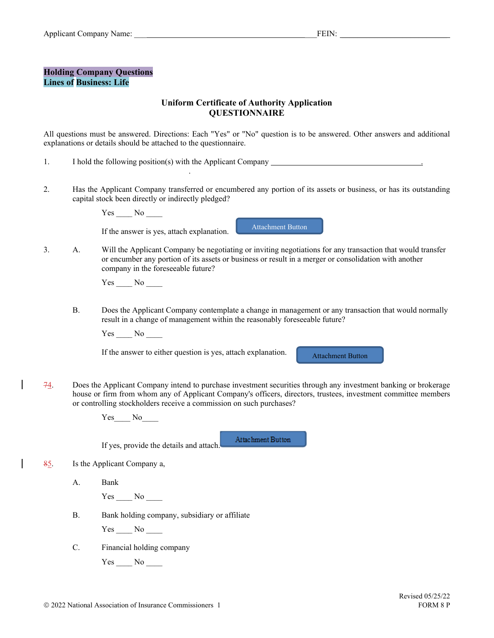#### **Holding Company Questions Lines of Business: Life**

# **Uniform Certificate of Authority Application QUESTIONNAIRE**

All questions must be answered. Directions: Each "Yes" or "No" question is to be answered. Other answers and additional explanations or details should be attached to the questionnaire.

- 1. I hold the following position(s) with the Applicant Company \_\_\_\_\_\_\_\_\_\_\_\_\_\_\_\_\_\_
- 2. Has the Applicant Company transferred or encumbered any portion of its assets or business, or has its outstanding capital stock been directly or indirectly pledged?

Yes \_\_\_\_ No \_\_\_\_

.

If the answer is yes, attach explanation.

Attachment Button

3. A. Will the Applicant Company be negotiating or inviting negotiations for any transaction that would transfer or encumber any portion of its assets or business or result in a merger or consolidation with another company in the foreseeable future?

 $Yes$  No  $\_\_$ 

 B. Does the Applicant Company contemplate a change in management or any transaction that would normally result in a change of management within the reasonably foreseeable future?

Yes \_\_\_\_ No \_\_\_\_

If the answer to either question is yes, attach explanation.

Attachment Button

 $74.$  Does the Applicant Company intend to purchase investment securities through any investment banking or brokerage house or firm from whom any of Applicant Company's officers, directors, trustees, investment committee members or controlling stockholders receive a commission on such purchases?

Yes No

If yes, provide the details and attach. Attachment Button

- 85. Is the Applicant Company a,
	- A. Bank

Yes No

B. Bank holding company, subsidiary or affiliate

 $Yes$   $No$   $\qquad$ 

C. Financial holding company

 $Yes$  No  $\_\_$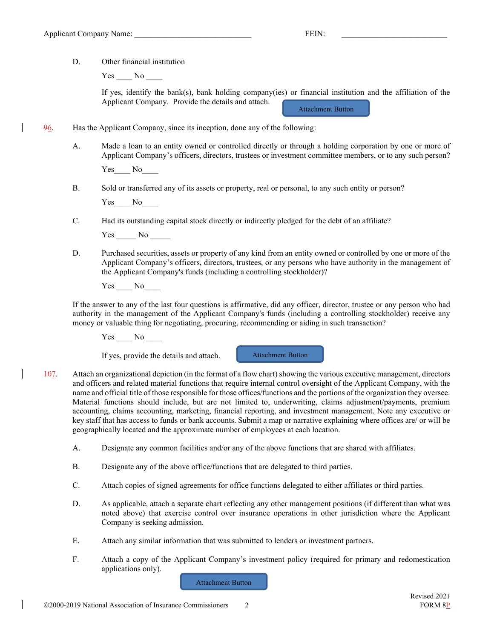D. Other financial institution

Yes No

If yes, identify the bank(s), bank holding company(ies) or financial institution and the affiliation of the Applicant Company. Provide the details and attach. Attachment Button

96. Has the Applicant Company, since its inception, done any of the following:

 A. Made a loan to an entity owned or controlled directly or through a holding corporation by one or more of Applicant Company's officers, directors, trustees or investment committee members, or to any such person?

Yes No

B. Sold or transferred any of its assets or property, real or personal, to any such entity or person?

Yes No

C. Had its outstanding capital stock directly or indirectly pledged for the debt of an affiliate?

Yes No

 D. Purchased securities, assets or property of any kind from an entity owned or controlled by one or more of the Applicant Company's officers, directors, trustees, or any persons who have authority in the management of the Applicant Company's funds (including a controlling stockholder)?

Yes No

If the answer to any of the last four questions is affirmative, did any officer, director, trustee or any person who had authority in the management of the Applicant Company's funds (including a controlling stockholder) receive any money or valuable thing for negotiating, procuring, recommending or aiding in such transaction?

Yes No

If yes, provide the details and attach.

Attachment Button

- 107. Attach an organizational depiction (in the format of a flow chart) showing the various executive management, directors and officers and related material functions that require internal control oversight of the Applicant Company, with the name and official title of those responsible for those offices/functions and the portions of the organization they oversee. Material functions should include, but are not limited to, underwriting, claims adjustment/payments, premium accounting, claims accounting, marketing, financial reporting, and investment management. Note any executive or key staff that has access to funds or bank accounts. Submit a map or narrative explaining where offices are/ or will be geographically located and the approximate number of employees at each location.
	- A. Designate any common facilities and/or any of the above functions that are shared with affiliates.
	- B. Designate any of the above office/functions that are delegated to third parties.
	- C. Attach copies of signed agreements for office functions delegated to either affiliates or third parties.
	- D. As applicable, attach a separate chart reflecting any other management positions (if different than what was noted above) that exercise control over insurance operations in other jurisdiction where the Applicant Company is seeking admission.
	- E. Attach any similar information that was submitted to lenders or investment partners.
	- F. Attach a copy of the Applicant Company's investment policy (required for primary and redomestication applications only).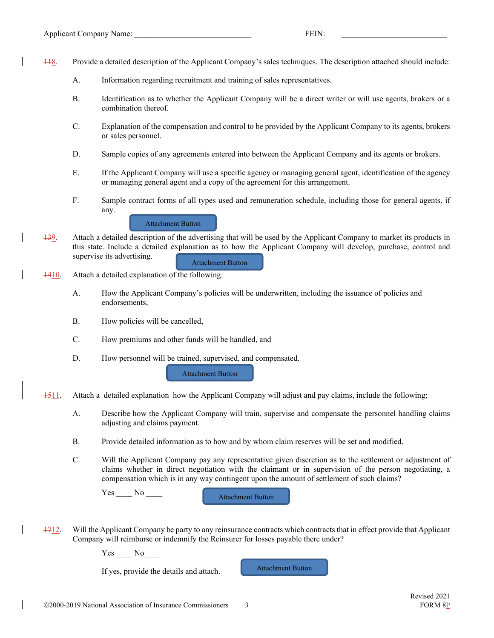- 118. Provide a detailed description of the Applicant Company's sales techniques. The description attached should include:
	- A. Information regarding recruitment and training of sales representatives.
	- B. Identification as to whether the Applicant Company will be a direct writer or will use agents, brokers or a combination thereof.
	- C. Explanation of the compensation and control to be provided by the Applicant Company to its agents, brokers or sales personnel.
	- D. Sample copies of any agreements entered into between the Applicant Company and its agents or brokers.
	- E. If the Applicant Company will use a specific agency or managing general agent, identification of the agency or managing general agent and a copy of the agreement for this arrangement.
	- F. Sample contract forms of all types used and remuneration schedule, including those for general agents, if any.

Attachment Button

- 139. Attach a detailed description of the advertising that will be used by the Applicant Company to market its products in this state. Include a detailed explanation as to how the Applicant Company will develop, purchase, control and supervise its advertising. Attachment Button
- $1410$ . Attach a detailed explanation of the following:
	- A. How the Applicant Company's policies will be underwritten, including the issuance of policies and endorsements,
	- B. How policies will be cancelled,
	- C. How premiums and other funds will be handled, and
	- D. How personnel will be trained, supervised, and compensated.

Attachment Button

- 1511. Attach a detailed explanation how the Applicant Company will adjust and pay claims, include the following;
	- A. Describe how the Applicant Company will train, supervise and compensate the personnel handling claims adjusting and claims payment.
	- B. Provide detailed information as to how and by whom claim reserves will be set and modified.
	- C. Will the Applicant Company pay any representative given discretion as to the settlement or adjustment of claims whether in direct negotiation with the claimant or in supervision of the person negotiating, a compensation which is in any way contingent upon the amount of settlement of such claims?

Yes No

Attachment Button

1712. Will the Applicant Company be party to any reinsurance contracts which contracts that in effect provide that Applicant Company will reimburse or indemnify the Reinsurer for losses payable there under?

Yes No

If yes, provide the details and attach.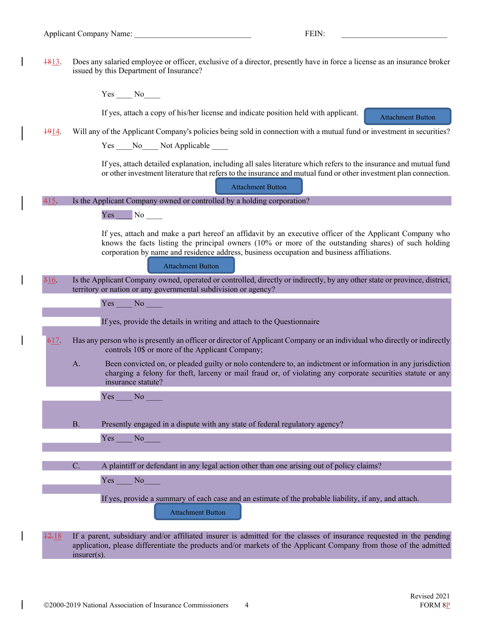$\overline{\phantom{a}}$ 

 $\overline{\phantom{a}}$ 

 $\overline{\phantom{a}}$ 

 $\overline{\phantom{a}}$ 

 $\overline{\phantom{a}}$ 

| $\frac{1813}{16}$ |                | Does any salaried employee or officer, exclusive of a director, presently have in force a license as an insurance broker<br>issued by this Department of Insurance?                                                                                                                                                                                 |
|-------------------|----------------|-----------------------------------------------------------------------------------------------------------------------------------------------------------------------------------------------------------------------------------------------------------------------------------------------------------------------------------------------------|
|                   |                | $Yes$ $No$                                                                                                                                                                                                                                                                                                                                          |
|                   |                | If yes, attach a copy of his/her license and indicate position held with applicant.                                                                                                                                                                                                                                                                 |
|                   |                | <b>Attachment Button</b>                                                                                                                                                                                                                                                                                                                            |
| 1914              |                | Will any of the Applicant Company's policies being sold in connection with a mutual fund or investment in securities?<br>Yes ____No____Not Applicable ____                                                                                                                                                                                          |
|                   |                |                                                                                                                                                                                                                                                                                                                                                     |
|                   |                | If yes, attach detailed explanation, including all sales literature which refers to the insurance and mutual fund<br>or other investment literature that refers to the insurance and mutual fund or other investment plan connection.                                                                                                               |
|                   |                | <b>Attachment Button</b>                                                                                                                                                                                                                                                                                                                            |
| 415.              |                | Is the Applicant Company owned or controlled by a holding corporation?                                                                                                                                                                                                                                                                              |
|                   |                | Yes <sup>1</sup><br>$N_0$                                                                                                                                                                                                                                                                                                                           |
|                   |                | If yes, attach and make a part hereof an affidavit by an executive officer of the Applicant Company who<br>knows the facts listing the principal owners $(10\% \text{ or more of the outstanding shares})$ of such holding<br>corporation by name and residence address, business occupation and business affiliations.<br><b>Attachment Button</b> |
| 516               |                | Is the Applicant Company owned, operated or controlled, directly or indirectly, by any other state or province, district,<br>territory or nation or any governmental subdivision or agency?                                                                                                                                                         |
|                   |                | Yes<br>No                                                                                                                                                                                                                                                                                                                                           |
|                   |                | If yes, provide the details in writing and attach to the Questionnaire                                                                                                                                                                                                                                                                              |
| 617.              |                | Has any person who is presently an officer or director of Applicant Company or an individual who directly or indirectly                                                                                                                                                                                                                             |
|                   |                | controls 10\$ or more of the Applicant Company;                                                                                                                                                                                                                                                                                                     |
|                   | A.             | Been convicted on, or pleaded guilty or nolo contendere to, an indictment or information in any jurisdiction<br>charging a felony for theft, larceny or mail fraud or, of violating any corporate securities statute or any<br>insurance statute?                                                                                                   |
|                   |                | Yes<br>No                                                                                                                                                                                                                                                                                                                                           |
|                   |                |                                                                                                                                                                                                                                                                                                                                                     |
|                   | <b>B.</b>      | Presently engaged in a dispute with any state of federal regulatory agency?                                                                                                                                                                                                                                                                         |
|                   |                | Yes<br>No                                                                                                                                                                                                                                                                                                                                           |
|                   |                |                                                                                                                                                                                                                                                                                                                                                     |
|                   | C.             | A plaintiff or defendant in any legal action other than one arising out of policy claims?                                                                                                                                                                                                                                                           |
|                   |                | Yes<br>N <sub>o</sub>                                                                                                                                                                                                                                                                                                                               |
|                   |                | If yes, provide a summary of each case and an estimate of the probable liability, if any, and attach.                                                                                                                                                                                                                                               |
|                   |                | <b>Attachment Button</b>                                                                                                                                                                                                                                                                                                                            |
| 12.18             | $insurer(s)$ . | If a parent, subsidiary and/or affiliated insurer is admitted for the classes of insurance requested in the pending<br>application, please differentiate the products and/or markets of the Applicant Company from those of the admitted                                                                                                            |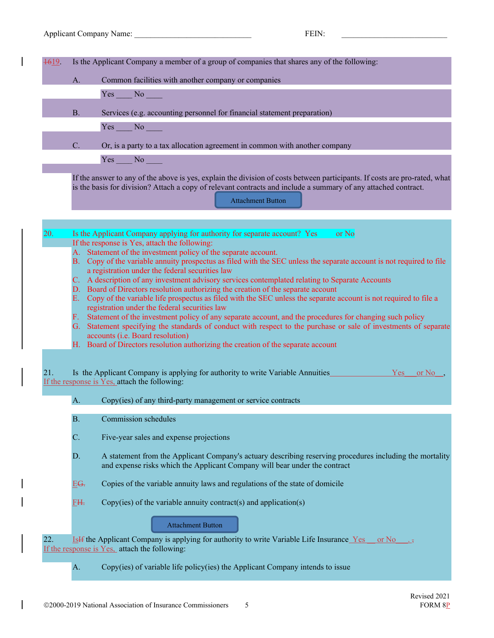1619. Is the Applicant Company a member of a group of companies that shares any of the following:

| Common facilities with another company or companies |  |
|-----------------------------------------------------|--|
|                                                     |  |

Yes No

B. Services (e.g. accounting personnel for financial statement preparation)

Yes No

C. Or, is a party to a tax allocation agreement in common with another company

Yes No

If the answer to any of the above is yes, explain the division of costs between participants. If costs are pro-rated, what is the basis for division? Attach a copy of relevant contracts and include a summary of any attached contract.

| 20.        |                                                                                                                                                                      |                                                                                                                                                                                                                                                                                                                                                                                                                                                                                                                                                                                                                                                                                                                                             |  |  |  |
|------------|----------------------------------------------------------------------------------------------------------------------------------------------------------------------|---------------------------------------------------------------------------------------------------------------------------------------------------------------------------------------------------------------------------------------------------------------------------------------------------------------------------------------------------------------------------------------------------------------------------------------------------------------------------------------------------------------------------------------------------------------------------------------------------------------------------------------------------------------------------------------------------------------------------------------------|--|--|--|
|            | Is the Applicant Company applying for authority for separate account? Yes<br>or No<br>If the response is Yes, attach the following:                                  |                                                                                                                                                                                                                                                                                                                                                                                                                                                                                                                                                                                                                                                                                                                                             |  |  |  |
|            | A. Statement of the investment policy of the separate account.                                                                                                       |                                                                                                                                                                                                                                                                                                                                                                                                                                                                                                                                                                                                                                                                                                                                             |  |  |  |
|            | B. Copy of the variable annuity prospectus as filed with the SEC unless the separate account is not required to file                                                 |                                                                                                                                                                                                                                                                                                                                                                                                                                                                                                                                                                                                                                                                                                                                             |  |  |  |
|            | a registration under the federal securities law                                                                                                                      |                                                                                                                                                                                                                                                                                                                                                                                                                                                                                                                                                                                                                                                                                                                                             |  |  |  |
|            | C. A description of any investment advisory services contemplated relating to Separate Accounts                                                                      |                                                                                                                                                                                                                                                                                                                                                                                                                                                                                                                                                                                                                                                                                                                                             |  |  |  |
|            | D. Board of Directors resolution authorizing the creation of the separate account                                                                                    |                                                                                                                                                                                                                                                                                                                                                                                                                                                                                                                                                                                                                                                                                                                                             |  |  |  |
|            | E. Copy of the variable life prospectus as filed with the SEC unless the separate account is not required to file a<br>registration under the federal securities law |                                                                                                                                                                                                                                                                                                                                                                                                                                                                                                                                                                                                                                                                                                                                             |  |  |  |
|            |                                                                                                                                                                      |                                                                                                                                                                                                                                                                                                                                                                                                                                                                                                                                                                                                                                                                                                                                             |  |  |  |
|            | G. Statement specifying the standards of conduct with respect to the purchase or sale of investments of separate                                                     |                                                                                                                                                                                                                                                                                                                                                                                                                                                                                                                                                                                                                                                                                                                                             |  |  |  |
|            | accounts (i.e. Board resolution)                                                                                                                                     |                                                                                                                                                                                                                                                                                                                                                                                                                                                                                                                                                                                                                                                                                                                                             |  |  |  |
|            |                                                                                                                                                                      | H. Board of Directors resolution authorizing the creation of the separate account                                                                                                                                                                                                                                                                                                                                                                                                                                                                                                                                                                                                                                                           |  |  |  |
|            |                                                                                                                                                                      |                                                                                                                                                                                                                                                                                                                                                                                                                                                                                                                                                                                                                                                                                                                                             |  |  |  |
|            |                                                                                                                                                                      | or No                                                                                                                                                                                                                                                                                                                                                                                                                                                                                                                                                                                                                                                                                                                                       |  |  |  |
|            |                                                                                                                                                                      |                                                                                                                                                                                                                                                                                                                                                                                                                                                                                                                                                                                                                                                                                                                                             |  |  |  |
|            |                                                                                                                                                                      |                                                                                                                                                                                                                                                                                                                                                                                                                                                                                                                                                                                                                                                                                                                                             |  |  |  |
|            | A.                                                                                                                                                                   | Copy(ies) of any third-party management or service contracts                                                                                                                                                                                                                                                                                                                                                                                                                                                                                                                                                                                                                                                                                |  |  |  |
|            |                                                                                                                                                                      |                                                                                                                                                                                                                                                                                                                                                                                                                                                                                                                                                                                                                                                                                                                                             |  |  |  |
|            |                                                                                                                                                                      |                                                                                                                                                                                                                                                                                                                                                                                                                                                                                                                                                                                                                                                                                                                                             |  |  |  |
|            |                                                                                                                                                                      |                                                                                                                                                                                                                                                                                                                                                                                                                                                                                                                                                                                                                                                                                                                                             |  |  |  |
|            |                                                                                                                                                                      |                                                                                                                                                                                                                                                                                                                                                                                                                                                                                                                                                                                                                                                                                                                                             |  |  |  |
|            | D.                                                                                                                                                                   | A statement from the Applicant Company's actuary describing reserving procedures including the mortality                                                                                                                                                                                                                                                                                                                                                                                                                                                                                                                                                                                                                                    |  |  |  |
|            |                                                                                                                                                                      |                                                                                                                                                                                                                                                                                                                                                                                                                                                                                                                                                                                                                                                                                                                                             |  |  |  |
|            |                                                                                                                                                                      |                                                                                                                                                                                                                                                                                                                                                                                                                                                                                                                                                                                                                                                                                                                                             |  |  |  |
|            |                                                                                                                                                                      |                                                                                                                                                                                                                                                                                                                                                                                                                                                                                                                                                                                                                                                                                                                                             |  |  |  |
|            |                                                                                                                                                                      |                                                                                                                                                                                                                                                                                                                                                                                                                                                                                                                                                                                                                                                                                                                                             |  |  |  |
|            |                                                                                                                                                                      |                                                                                                                                                                                                                                                                                                                                                                                                                                                                                                                                                                                                                                                                                                                                             |  |  |  |
|            |                                                                                                                                                                      |                                                                                                                                                                                                                                                                                                                                                                                                                                                                                                                                                                                                                                                                                                                                             |  |  |  |
|            |                                                                                                                                                                      |                                                                                                                                                                                                                                                                                                                                                                                                                                                                                                                                                                                                                                                                                                                                             |  |  |  |
| $+5$       |                                                                                                                                                                      |                                                                                                                                                                                                                                                                                                                                                                                                                                                                                                                                                                                                                                                                                                                                             |  |  |  |
|            |                                                                                                                                                                      |                                                                                                                                                                                                                                                                                                                                                                                                                                                                                                                                                                                                                                                                                                                                             |  |  |  |
|            | A.                                                                                                                                                                   | Copy(ies) of variable life policy(ies) the Applicant Company intends to issue                                                                                                                                                                                                                                                                                                                                                                                                                                                                                                                                                                                                                                                               |  |  |  |
| 21.<br>22. | <b>B.</b><br>C.<br>E <del>G.</del><br>FH.                                                                                                                            | F. Statement of the investment policy of any separate account, and the procedures for changing such policy<br>Is the Applicant Company is applying for authority to write Variable Annuities<br>Yes<br>If the response is Yes, attach the following:<br>Commission schedules<br>Five-year sales and expense projections<br>and expense risks which the Applicant Company will bear under the contract<br>Copies of the variable annuity laws and regulations of the state of domicile<br>Copy(ies) of the variable annuity contract(s) and application(s)<br><b>Attachment Button</b><br>IsH the Applicant Company is applying for authority to write Variable Life Insurance Yes<br>or No<br>If the response is Yes, attach the following: |  |  |  |